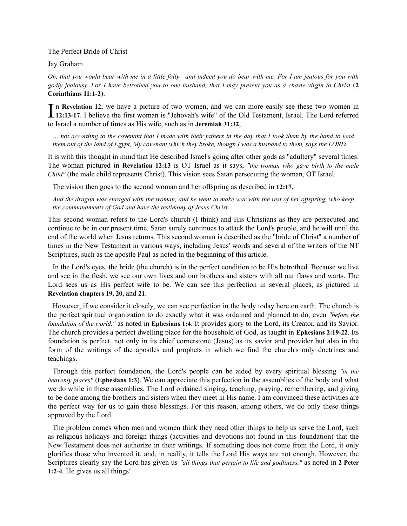The Perfect Bride of Christ

Jay Graham

*Oh, that you would bear with me in a little folly—and indeed you do bear with me. For I am jealous for you with godly jealousy. For I have betrothed you to one husband, that I may present you as a chaste virgin to Christ* (**2 Corinthians 11:1-2**).

In Revelation 12, we have a picture of two women, and we can more easily see these two women in 12:13-17. I believe the first woman is "Jehovah's wife" of the Old Testament, Israel. The Lord referred n **Revelation 12**, we have a picture of two women, and we can more easily see these two women in to Israel a number of times as His wife, such as in **Jeremiah 31:32**,

*… not according to the covenant that I made with their fathers in the day that I took them by the hand to lead them out of the land of Egypt, My covenant which they broke, though I was a husband to them, says the LORD.*

It is with this thought in mind that He described Israel's going after other gods as "adultery" several times. The woman pictured in **Revelation 12:13** is OT Israel as it says, *"the woman who gave birth to the male Child"* (the male child represents Christ). This vision sees Satan persecuting the woman, OT Israel.

The vision then goes to the second woman and her offspring as described in **12:17**,

*And the dragon was enraged with the woman, and he went to make war with the rest of her offspring, who keep the commandments of God and have the testimony of Jesus Christ.*

This second woman refers to the Lord's church (I think) and His Christians as they are persecuted and continue to be in our present time. Satan surely continues to attack the Lord's people, and he will until the end of the world when Jesus returns. This second woman is described as the "bride of Christ" a number of times in the New Testament in various ways, including Jesus' words and several of the writers of the NT Scriptures, such as the apostle Paul as noted in the beginning of this article.

In the Lord's eyes, the bride (the church) is in the perfect condition to be His betrothed. Because we live and see in the flesh, we see our own lives and our brothers and sisters with all our flaws and warts. The Lord sees us as His perfect wife to be. We can see this perfection in several places, as pictured in **Revelation chapters 19, 20,** and **21**.

However, if we consider it closely, we can see perfection in the body today here on earth. The church is the perfect spiritual organization to do exactly what it was ordained and planned to do, even *"before the foundation of the world,"* as noted in **Ephesians 1:4**. It provides glory to the Lord, its Creator, and its Savior. The church provides a perfect dwelling place for the household of God, as taught in **Ephesians 2:19-22**. Its foundation is perfect, not only in its chief cornerstone (Jesus) as its savior and provider but also in the form of the writings of the apostles and prophets in which we find the church's only doctrines and teachings.

Through this perfect foundation, the Lord's people can be aided by every spiritual blessing *"in the heavenly places"* (**Ephesians 1:3**). We can appreciate this perfection in the assemblies of the body and what we do while in these assemblies. The Lord ordained singing, teaching, praying, remembering, and giving to be done among the brothers and sisters when they meet in His name. I am convinced these activities are the perfect way for us to gain these blessings. For this reason, among others, we do only these things approved by the Lord.

The problem comes when men and women think they need other things to help us serve the Lord, such as religious holidays and foreign things (activities and devotions not found in this foundation) that the New Testament does not authorize in their writings. If something does not come from the Lord, it only glorifies those who invented it, and, in reality, it tells the Lord His ways are not enough. However, the Scriptures clearly say the Lord has given us *"all things that pertain to life and godliness,"* as noted in **2 Peter 1:2-4**. He gives us all things!